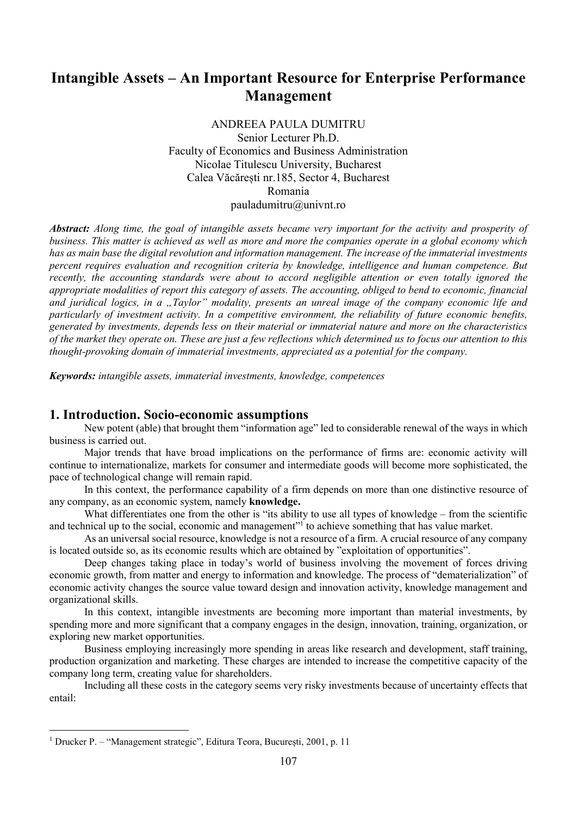# Intangible Assets – An Important Resource for Enterprise Performance Management

ANDREEA PAULA DUMITRU Senior Lecturer Ph.D. Faculty of Economics and Business Administration Nicolae Titulescu University, Bucharest Calea Văcărești nr.185, Sector 4, Bucharest Romania pauladumitru@univnt.ro

Abstract: Along time, the goal of intangible assets became very important for the activity and prosperity of business. This matter is achieved as well as more and more the companies operate in a global economy which has as main base the digital revolution and information management. The increase of the immaterial investments percent requires evaluation and recognition criteria by knowledge, intelligence and human competence. But recently, the accounting standards were about to accord negligible attention or even totally ignored the appropriate modalities of report this category of assets. The accounting, obliged to bend to economic, financial and juridical logics, in a  $T$ aylor" modality, presents an unreal image of the company economic life and particularly of investment activity. In a competitive environment, the reliability of future economic benefits, generated by investments, depends less on their material or immaterial nature and more on the characteristics of the market they operate on. These are just a few reflections which determined us to focus our attention to this thought-provoking domain of immaterial investments, appreciated as a potential for the company.

Keywords: intangible assets, immaterial investments, knowledge, competences

#### 1. Introduction. Socio-economic assumptions

New potent (able) that brought them "information age" led to considerable renewal of the ways in which business is carried out.

Major trends that have broad implications on the performance of firms are: economic activity will continue to internationalize, markets for consumer and intermediate goods will become more sophisticated, the pace of technological change will remain rapid.

In this context, the performance capability of a firm depends on more than one distinctive resource of any company, as an economic system, namely knowledge.

What differentiates one from the other is "its ability to use all types of knowledge – from the scientific and technical up to the social, economic and management"<sup>1</sup> to achieve something that has value market.

As an universal social resource, knowledge is not a resource of a firm. A crucial resource of any company is located outside so, as its economic results which are obtained by "exploitation of opportunities".

Deep changes taking place in today's world of business involving the movement of forces driving economic growth, from matter and energy to information and knowledge. The process of "dematerialization" of economic activity changes the source value toward design and innovation activity, knowledge management and organizational skills.

In this context, intangible investments are becoming more important than material investments, by spending more and more significant that a company engages in the design, innovation, training, organization, or exploring new market opportunities.

Business employing increasingly more spending in areas like research and development, staff training, production organization and marketing. These charges are intended to increase the competitive capacity of the company long term, creating value for shareholders.

Including all these costs in the category seems very risky investments because of uncertainty effects that entail:

-

<sup>&</sup>lt;sup>1</sup> Drucker P. – "Management strategic", Editura Teora, București, 2001, p. 11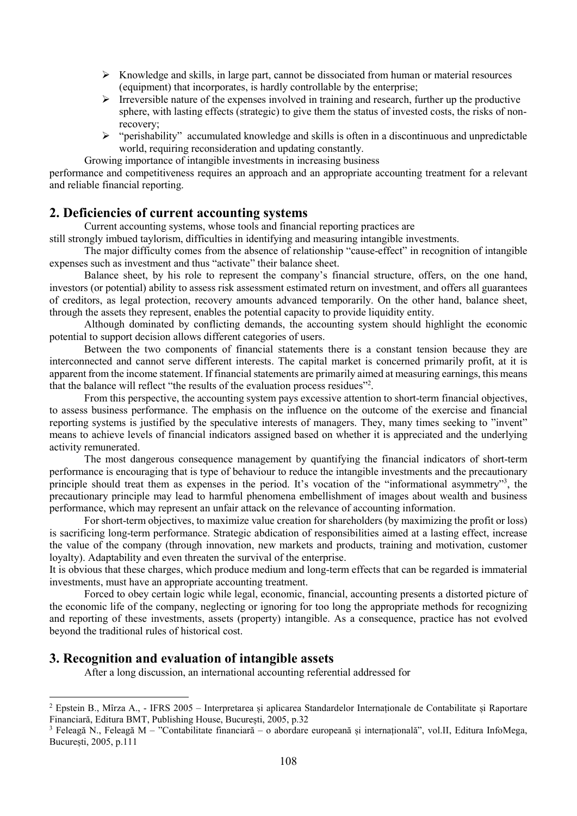- Knowledge and skills, in large part, cannot be dissociated from human or material resources (equipment) that incorporates, is hardly controllable by the enterprise;
- $\triangleright$  Irreversible nature of the expenses involved in training and research, further up the productive sphere, with lasting effects (strategic) to give them the status of invested costs, the risks of nonrecovery;
- "perishability" accumulated knowledge and skills is often in a discontinuous and unpredictable world, requiring reconsideration and updating constantly.

Growing importance of intangible investments in increasing business

performance and competitiveness requires an approach and an appropriate accounting treatment for a relevant and reliable financial reporting.

### 2. Deficiencies of current accounting systems

Current accounting systems, whose tools and financial reporting practices are

still strongly imbued taylorism, difficulties in identifying and measuring intangible investments.

 The major difficulty comes from the absence of relationship "cause-effect" in recognition of intangible expenses such as investment and thus "activate" their balance sheet.

 Balance sheet, by his role to represent the company's financial structure, offers, on the one hand, investors (or potential) ability to assess risk assessment estimated return on investment, and offers all guarantees of creditors, as legal protection, recovery amounts advanced temporarily. On the other hand, balance sheet, through the assets they represent, enables the potential capacity to provide liquidity entity.

 Although dominated by conflicting demands, the accounting system should highlight the economic potential to support decision allows different categories of users.

 Between the two components of financial statements there is a constant tension because they are interconnected and cannot serve different interests. The capital market is concerned primarily profit, at it is apparent from the income statement. If financial statements are primarily aimed at measuring earnings, this means that the balance will reflect "the results of the evaluation process residues"<sup>2</sup> .

 From this perspective, the accounting system pays excessive attention to short-term financial objectives, to assess business performance. The emphasis on the influence on the outcome of the exercise and financial reporting systems is justified by the speculative interests of managers. They, many times seeking to "invent" means to achieve levels of financial indicators assigned based on whether it is appreciated and the underlying activity remunerated.

 The most dangerous consequence management by quantifying the financial indicators of short-term performance is encouraging that is type of behaviour to reduce the intangible investments and the precautionary principle should treat them as expenses in the period. It's vocation of the "informational asymmetry"<sup>3</sup>, the precautionary principle may lead to harmful phenomena embellishment of images about wealth and business performance, which may represent an unfair attack on the relevance of accounting information.

 For short-term objectives, to maximize value creation for shareholders (by maximizing the profit or loss) is sacrificing long-term performance. Strategic abdication of responsibilities aimed at a lasting effect, increase the value of the company (through innovation, new markets and products, training and motivation, customer loyalty). Adaptability and even threaten the survival of the enterprise.

It is obvious that these charges, which produce medium and long-term effects that can be regarded is immaterial investments, must have an appropriate accounting treatment.

 Forced to obey certain logic while legal, economic, financial, accounting presents a distorted picture of the economic life of the company, neglecting or ignoring for too long the appropriate methods for recognizing and reporting of these investments, assets (property) intangible. As a consequence, practice has not evolved beyond the traditional rules of historical cost.

### 3. Recognition and evaluation of intangible assets

-

After a long discussion, an international accounting referential addressed for

<sup>2</sup> Epstein B., Mîrza A., - IFRS 2005 – Interpretarea și aplicarea Standardelor Internaționale de Contabilitate și Raportare Financiară, Editura BMT, Publishing House, București, 2005, p.32

<sup>3</sup> Feleagă N., Feleagă M – "Contabilitate financiară – o abordare europeană și internațională", vol.II, Editura InfoMega, București, 2005, p.111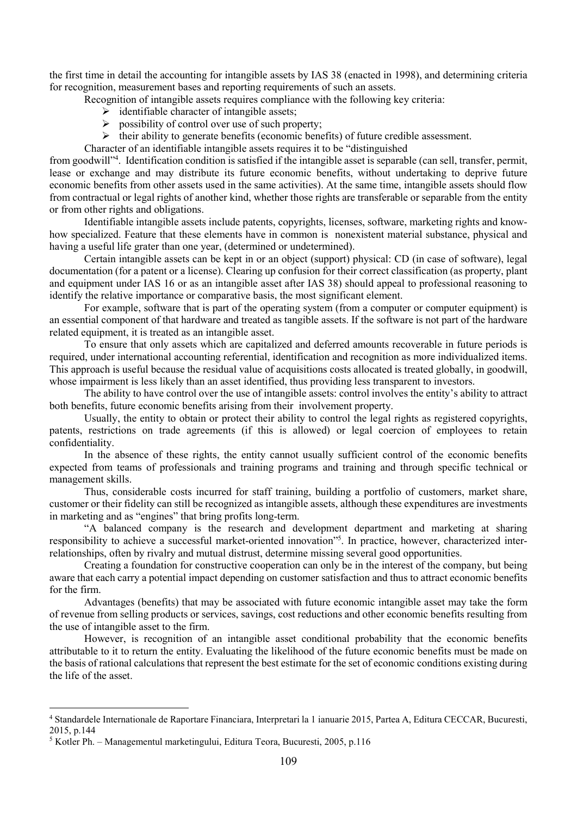the first time in detail the accounting for intangible assets by IAS 38 (enacted in 1998), and determining criteria for recognition, measurement bases and reporting requirements of such an assets.

- Recognition of intangible assets requires compliance with the following key criteria:
	- $\triangleright$  identifiable character of intangible assets;
	- $\triangleright$  possibility of control over use of such property;
	- $\triangleright$  their ability to generate benefits (economic benefits) of future credible assessment.
- Character of an identifiable intangible assets requires it to be "distinguished

from goodwill"<sup>4</sup>. Identification condition is satisfied if the intangible asset is separable (can sell, transfer, permit, lease or exchange and may distribute its future economic benefits, without undertaking to deprive future economic benefits from other assets used in the same activities). At the same time, intangible assets should flow from contractual or legal rights of another kind, whether those rights are transferable or separable from the entity or from other rights and obligations.

 Identifiable intangible assets include patents, copyrights, licenses, software, marketing rights and knowhow specialized. Feature that these elements have in common is nonexistent material substance, physical and having a useful life grater than one year, (determined or undetermined).

 Certain intangible assets can be kept in or an object (support) physical: CD (in case of software), legal documentation (for a patent or a license). Clearing up confusion for their correct classification (as property, plant and equipment under IAS 16 or as an intangible asset after IAS 38) should appeal to professional reasoning to identify the relative importance or comparative basis, the most significant element.

 For example, software that is part of the operating system (from a computer or computer equipment) is an essential component of that hardware and treated as tangible assets. If the software is not part of the hardware related equipment, it is treated as an intangible asset.

 To ensure that only assets which are capitalized and deferred amounts recoverable in future periods is required, under international accounting referential, identification and recognition as more individualized items. This approach is useful because the residual value of acquisitions costs allocated is treated globally, in goodwill, whose impairment is less likely than an asset identified, thus providing less transparent to investors.

 The ability to have control over the use of intangible assets: control involves the entity's ability to attract both benefits, future economic benefits arising from their involvement property.

 Usually, the entity to obtain or protect their ability to control the legal rights as registered copyrights, patents, restrictions on trade agreements (if this is allowed) or legal coercion of employees to retain confidentiality.

 In the absence of these rights, the entity cannot usually sufficient control of the economic benefits expected from teams of professionals and training programs and training and through specific technical or management skills.

 Thus, considerable costs incurred for staff training, building a portfolio of customers, market share, customer or their fidelity can still be recognized as intangible assets, although these expenditures are investments in marketing and as "engines" that bring profits long-term.

 "A balanced company is the research and development department and marketing at sharing responsibility to achieve a successful market-oriented innovation"<sup>5</sup> . In practice, however, characterized interrelationships, often by rivalry and mutual distrust, determine missing several good opportunities.

 Creating a foundation for constructive cooperation can only be in the interest of the company, but being aware that each carry a potential impact depending on customer satisfaction and thus to attract economic benefits for the firm.

 Advantages (benefits) that may be associated with future economic intangible asset may take the form of revenue from selling products or services, savings, cost reductions and other economic benefits resulting from the use of intangible asset to the firm.

 However, is recognition of an intangible asset conditional probability that the economic benefits attributable to it to return the entity. Evaluating the likelihood of the future economic benefits must be made on the basis of rational calculations that represent the best estimate for the set of economic conditions existing during the life of the asset.

-

<sup>4</sup> Standardele Internationale de Raportare Financiara, Interpretari la 1 ianuarie 2015, Partea A, Editura CECCAR, Bucuresti, 2015, p.144

<sup>5</sup> Kotler Ph. – Managementul marketingului, Editura Teora, Bucuresti, 2005, p.116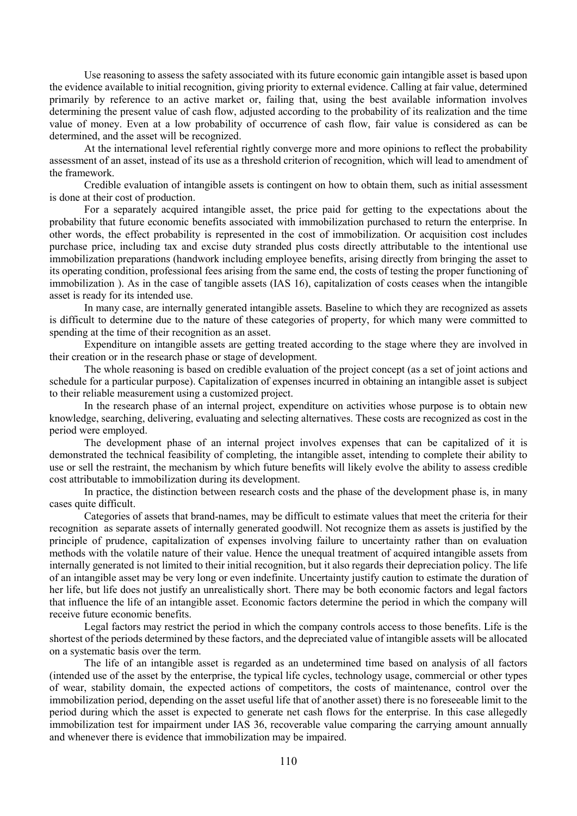Use reasoning to assess the safety associated with its future economic gain intangible asset is based upon the evidence available to initial recognition, giving priority to external evidence. Calling at fair value, determined primarily by reference to an active market or, failing that, using the best available information involves determining the present value of cash flow, adjusted according to the probability of its realization and the time value of money. Even at a low probability of occurrence of cash flow, fair value is considered as can be determined, and the asset will be recognized.

 At the international level referential rightly converge more and more opinions to reflect the probability assessment of an asset, instead of its use as a threshold criterion of recognition, which will lead to amendment of the framework.

 Credible evaluation of intangible assets is contingent on how to obtain them, such as initial assessment is done at their cost of production.

 For a separately acquired intangible asset, the price paid for getting to the expectations about the probability that future economic benefits associated with immobilization purchased to return the enterprise. In other words, the effect probability is represented in the cost of immobilization. Or acquisition cost includes purchase price, including tax and excise duty stranded plus costs directly attributable to the intentional use immobilization preparations (handwork including employee benefits, arising directly from bringing the asset to its operating condition, professional fees arising from the same end, the costs of testing the proper functioning of immobilization ). As in the case of tangible assets (IAS 16), capitalization of costs ceases when the intangible asset is ready for its intended use.

 In many case, are internally generated intangible assets. Baseline to which they are recognized as assets is difficult to determine due to the nature of these categories of property, for which many were committed to spending at the time of their recognition as an asset.

 Expenditure on intangible assets are getting treated according to the stage where they are involved in their creation or in the research phase or stage of development.

 The whole reasoning is based on credible evaluation of the project concept (as a set of joint actions and schedule for a particular purpose). Capitalization of expenses incurred in obtaining an intangible asset is subject to their reliable measurement using a customized project.

 In the research phase of an internal project, expenditure on activities whose purpose is to obtain new knowledge, searching, delivering, evaluating and selecting alternatives. These costs are recognized as cost in the period were employed.

 The development phase of an internal project involves expenses that can be capitalized of it is demonstrated the technical feasibility of completing, the intangible asset, intending to complete their ability to use or sell the restraint, the mechanism by which future benefits will likely evolve the ability to assess credible cost attributable to immobilization during its development.

 In practice, the distinction between research costs and the phase of the development phase is, in many cases quite difficult.

 Categories of assets that brand-names, may be difficult to estimate values that meet the criteria for their recognition as separate assets of internally generated goodwill. Not recognize them as assets is justified by the principle of prudence, capitalization of expenses involving failure to uncertainty rather than on evaluation methods with the volatile nature of their value. Hence the unequal treatment of acquired intangible assets from internally generated is not limited to their initial recognition, but it also regards their depreciation policy. The life of an intangible asset may be very long or even indefinite. Uncertainty justify caution to estimate the duration of her life, but life does not justify an unrealistically short. There may be both economic factors and legal factors that influence the life of an intangible asset. Economic factors determine the period in which the company will receive future economic benefits.

 Legal factors may restrict the period in which the company controls access to those benefits. Life is the shortest of the periods determined by these factors, and the depreciated value of intangible assets will be allocated on a systematic basis over the term.

 The life of an intangible asset is regarded as an undetermined time based on analysis of all factors (intended use of the asset by the enterprise, the typical life cycles, technology usage, commercial or other types of wear, stability domain, the expected actions of competitors, the costs of maintenance, control over the immobilization period, depending on the asset useful life that of another asset) there is no foreseeable limit to the period during which the asset is expected to generate net cash flows for the enterprise. In this case allegedly immobilization test for impairment under IAS 36, recoverable value comparing the carrying amount annually and whenever there is evidence that immobilization may be impaired.